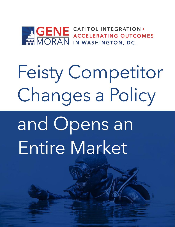

# Feisty Competitor Changes a Policy

and Opens an Entire Market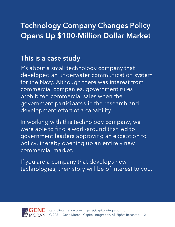#### **Technology Company Changes Policy Opens Up \$100-Million Dollar Market**

#### **This is a case study.**

It's about a small technology company that developed an underwater communication system for the Navy. Although there was interest from commercial companies, government rules prohibited commercial sales when the government participates in the research and development effort of a capability.

In working with this technology company, we were able to find a work-around that led to government leaders approving an exception to policy, thereby opening up an entirely new commercial market.

If you are a company that develops new technologies, their story will be of interest to you.

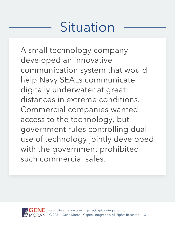# Situation

A small technology company developed an innovative communication system that would help Navy SEALs communicate digitally underwater at great distances in extreme conditions. Commercial companies wanted access to the technology, but government rules controlling dual use of technology jointly developed with the government prohibited such commercial sales.

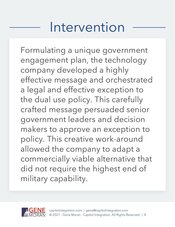## Intervention

Formulating a unique government engagement plan, the technology company developed a highly effective message and orchestrated a legal and effective exception to the dual use policy. This carefully crafted message persuaded senior government leaders and decision makers to approve an exception to policy. This creative work-around allowed the company to adapt a commercially viable alternative that did not require the highest end of military capability.

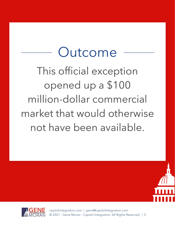## Outcome

This official exception opened up a \$100 million-dollar commercial market that would otherwise not have been available.





[capitolintegration.com](https://www.capitolintegration.com/) | [gene@capitolintegration.com](mailto:gene@capitolintegration.com) © 2021 - Gene Moran - Capitol Integration. All Rights Reserved. | 5